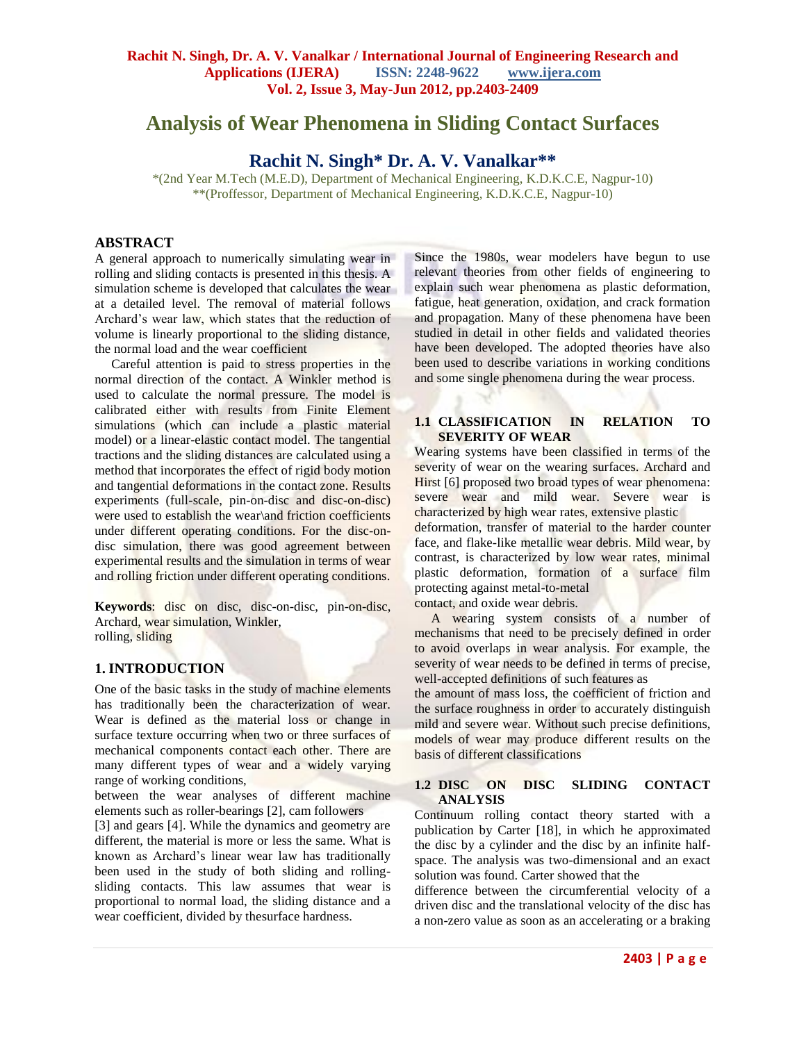# **Analysis of Wear Phenomena in Sliding Contact Surfaces**

## **Rachit N. Singh\* Dr. A. V. Vanalkar\*\***

\*(2nd Year M.Tech (M.E.D), Department of Mechanical Engineering, K.D.K.C.E, Nagpur-10) \*\*(Proffessor, Department of Mechanical Engineering, K.D.K.C.E, Nagpur-10)

## **ABSTRACT**

A general approach to numerically simulating wear in rolling and sliding contacts is presented in this thesis. A simulation scheme is developed that calculates the wear at a detailed level. The removal of material follows Archard"s wear law, which states that the reduction of volume is linearly proportional to the sliding distance, the normal load and the wear coefficient

 Careful attention is paid to stress properties in the normal direction of the contact. A Winkler method is used to calculate the normal pressure. The model is calibrated either with results from Finite Element simulations (which can include a plastic material model) or a linear-elastic contact model. The tangential tractions and the sliding distances are calculated using a method that incorporates the effect of rigid body motion and tangential deformations in the contact zone. Results experiments (full-scale, pin-on-disc and disc-on-disc) were used to establish the wear\and friction coefficients under different operating conditions. For the disc-ondisc simulation, there was good agreement between experimental results and the simulation in terms of wear and rolling friction under different operating conditions.

**Keywords**: disc on disc, disc-on-disc, pin-on-disc, Archard, wear simulation, Winkler, rolling, sliding

## **1. INTRODUCTION**

One of the basic tasks in the study of machine elements has traditionally been the characterization of wear. Wear is defined as the material loss or change in surface texture occurring when two or three surfaces of mechanical components contact each other. There are many different types of wear and a widely varying range of working conditions,

between the wear analyses of different machine elements such as roller-bearings [2], cam followers

[3] and gears [4]. While the dynamics and geometry are different, the material is more or less the same. What is known as Archard"s linear wear law has traditionally been used in the study of both sliding and rollingsliding contacts. This law assumes that wear is proportional to normal load, the sliding distance and a wear coefficient, divided by thesurface hardness.

Since the 1980s, wear modelers have begun to use relevant theories from other fields of engineering to explain such wear phenomena as plastic deformation, fatigue, heat generation, oxidation, and crack formation and propagation. Many of these phenomena have been studied in detail in other fields and validated theories have been developed. The adopted theories have also been used to describe variations in working conditions and some single phenomena during the wear process.

#### **1.1 CLASSIFICATION IN RELATION TO SEVERITY OF WEAR**

Wearing systems have been classified in terms of the severity of wear on the wearing surfaces. Archard and Hirst [6] proposed two broad types of wear phenomena: severe wear and mild wear. Severe wear is characterized by high wear rates, extensive plastic deformation, transfer of material to the harder counter face, and flake-like metallic wear debris. Mild wear, by contrast, is characterized by low wear rates, minimal plastic deformation, formation of a surface film protecting against metal-to-metal contact, and oxide wear debris.

 A wearing system consists of a number of mechanisms that need to be precisely defined in order to avoid overlaps in wear analysis. For example, the severity of wear needs to be defined in terms of precise, well-accepted definitions of such features as

the amount of mass loss, the coefficient of friction and the surface roughness in order to accurately distinguish mild and severe wear. Without such precise definitions, models of wear may produce different results on the basis of different classifications

#### **1.2 DISC ON DISC SLIDING CONTACT ANALYSIS**

Continuum rolling contact theory started with a publication by Carter [18], in which he approximated the disc by a cylinder and the disc by an infinite halfspace. The analysis was two-dimensional and an exact solution was found. Carter showed that the

difference between the circumferential velocity of a driven disc and the translational velocity of the disc has a non-zero value as soon as an accelerating or a braking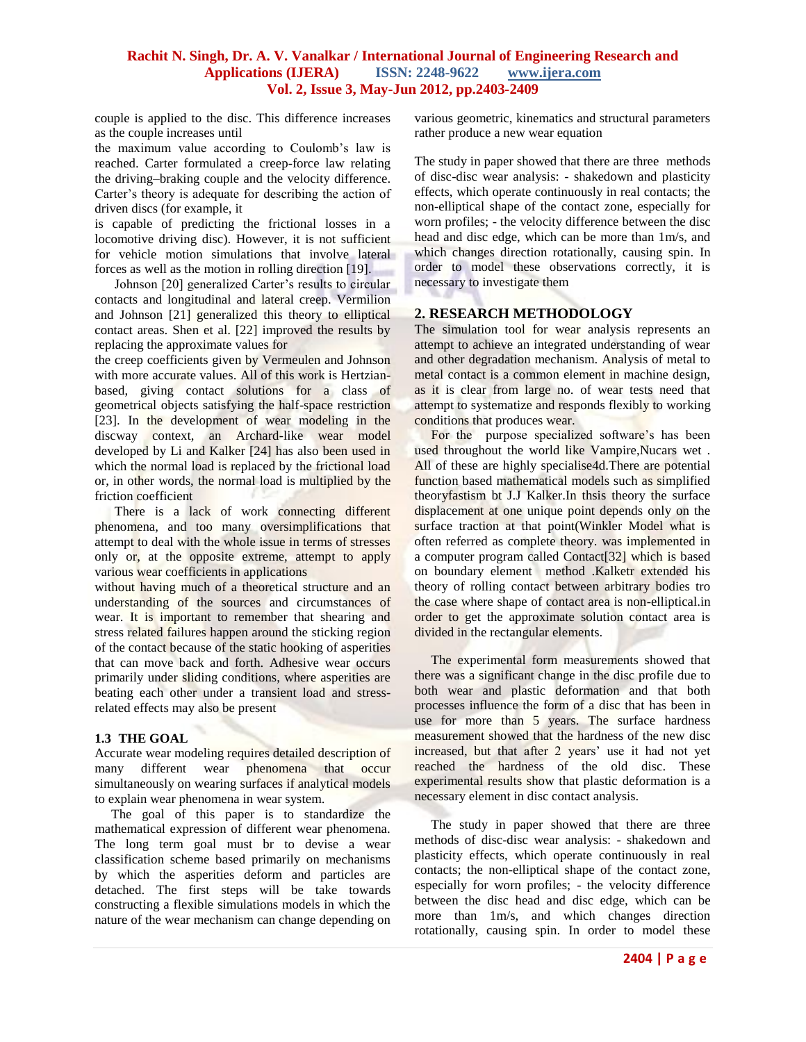couple is applied to the disc. This difference increases as the couple increases until

the maximum value according to Coulomb"s law is reached. Carter formulated a creep-force law relating the driving–braking couple and the velocity difference. Carter's theory is adequate for describing the action of driven discs (for example, it

is capable of predicting the frictional losses in a locomotive driving disc). However, it is not sufficient for vehicle motion simulations that involve lateral forces as well as the motion in rolling direction [19].

Johnson [20] generalized Carter's results to circular contacts and longitudinal and lateral creep. Vermilion and Johnson [21] generalized this theory to elliptical contact areas. Shen et al. [22] improved the results by replacing the approximate values for

the creep coefficients given by Vermeulen and Johnson with more accurate values. All of this work is Hertzianbased, giving contact solutions for a class of geometrical objects satisfying the half-space restriction [23]. In the development of wear modeling in the discway context, an Archard-like wear model developed by Li and Kalker [24] has also been used in which the normal load is replaced by the frictional load or, in other words, the normal load is multiplied by the friction coefficient

There is a lack of work connecting different phenomena, and too many oversimplifications that attempt to deal with the whole issue in terms of stresses only or, at the opposite extreme, attempt to apply various wear coefficients in applications

without having much of a theoretical structure and an understanding of the sources and circumstances of wear. It is important to remember that shearing and stress related failures happen around the sticking region of the contact because of the static hooking of asperities that can move back and forth. Adhesive wear occurs primarily under sliding conditions, where asperities are beating each other under a transient load and stressrelated effects may also be present

## **1.3 THE GOAL**

Accurate wear modeling requires detailed description of many different wear phenomena that occur simultaneously on wearing surfaces if analytical models to explain wear phenomena in wear system.

 The goal of this paper is to standardize the mathematical expression of different wear phenomena. The long term goal must br to devise a wear classification scheme based primarily on mechanisms by which the asperities deform and particles are detached. The first steps will be take towards constructing a flexible simulations models in which the nature of the wear mechanism can change depending on various geometric, kinematics and structural parameters rather produce a new wear equation

The study in paper showed that there are three methods of disc-disc wear analysis: - shakedown and plasticity effects, which operate continuously in real contacts; the non-elliptical shape of the contact zone, especially for worn profiles; - the velocity difference between the disc head and disc edge, which can be more than 1m/s, and which changes direction rotationally, causing spin. In order to model these observations correctly, it is necessary to investigate them

## **2. RESEARCH METHODOLOGY**

The simulation tool for wear analysis represents an attempt to achieve an integrated understanding of wear and other degradation mechanism. Analysis of metal to metal contact is a common element in machine design, as it is clear from large no. of wear tests need that attempt to systematize and responds flexibly to working conditions that produces wear.

For the purpose specialized software's has been used throughout the world like Vampire,Nucars wet . All of these are highly specialise4d.There are potential function based mathematical models such as simplified theoryfastism bt J.J Kalker.In thsis theory the surface displacement at one unique point depends only on the surface traction at that point(Winkler Model what is often referred as complete theory. was implemented in a computer program called Contact[32] which is based on boundary element method .Kalketr extended his theory of rolling contact between arbitrary bodies tro the case where shape of contact area is non-elliptical.in order to get the approximate solution contact area is divided in the rectangular elements.

 The experimental form measurements showed that there was a significant change in the disc profile due to both wear and plastic deformation and that both processes influence the form of a disc that has been in use for more than 5 years. The surface hardness measurement showed that the hardness of the new disc increased, but that after 2 years' use it had not yet reached the hardness of the old disc. These experimental results show that plastic deformation is a necessary element in disc contact analysis.

 The study in paper showed that there are three methods of disc-disc wear analysis: - shakedown and plasticity effects, which operate continuously in real contacts; the non-elliptical shape of the contact zone, especially for worn profiles; - the velocity difference between the disc head and disc edge, which can be more than 1m/s, and which changes direction rotationally, causing spin. In order to model these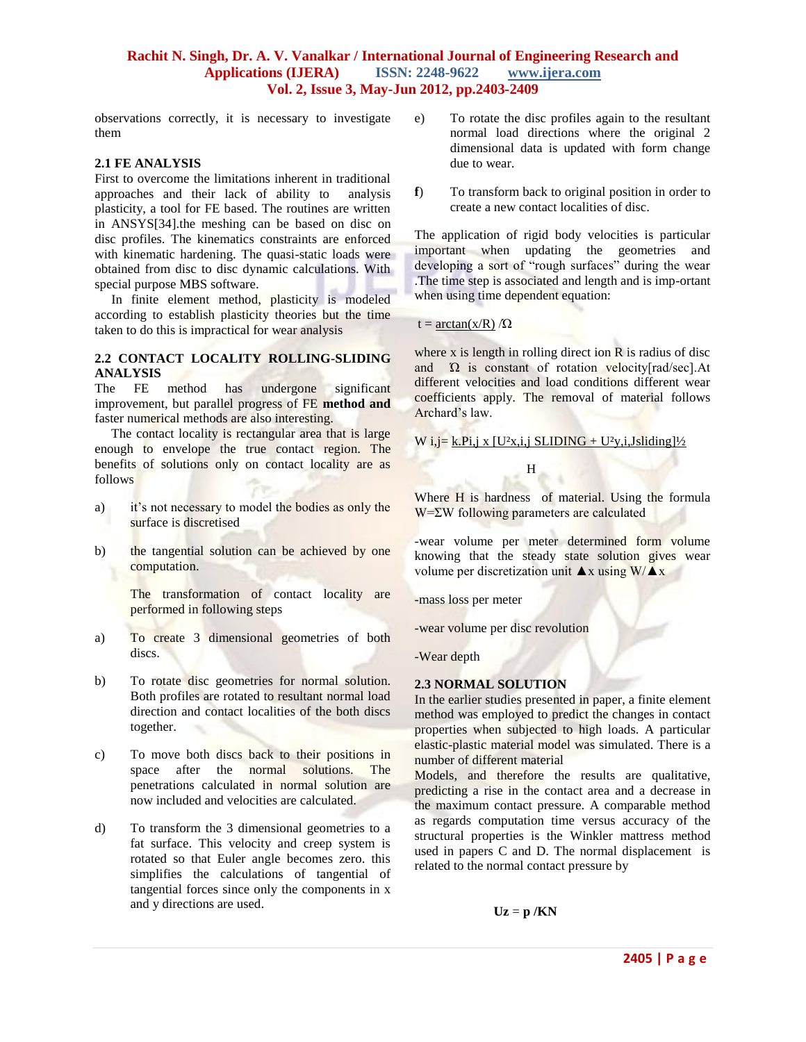observations correctly, it is necessary to investigate them

#### **2.1 FE ANALYSIS**

First to overcome the limitations inherent in traditional approaches and their lack of ability to analysis plasticity, a tool for FE based. The routines are written in ANSYS[34].the meshing can be based on disc on disc profiles. The kinematics constraints are enforced with kinematic hardening. The quasi-static loads were obtained from disc to disc dynamic calculations. With special purpose MBS software.

 In finite element method, plasticity is modeled according to establish plasticity theories but the time taken to do this is impractical for wear analysis

#### **2.2 CONTACT LOCALITY ROLLING-SLIDING ANALYSIS**

The FE method has undergone significant improvement, but parallel progress of FE **method and**  faster numerical methods are also interesting.

The contact locality is rectangular area that is large enough to envelope the true contact region. The benefits of solutions only on contact locality are as follows

- a) it's not necessary to model the bodies as only the surface is discretised
- b) the tangential solution can be achieved by one computation.

 The transformation of contact locality are performed in following steps

- a) To create 3 dimensional geometries of both discs.
- b) To rotate disc geometries for normal solution. Both profiles are rotated to resultant normal load direction and contact localities of the both discs together.
- c) To move both discs back to their positions in space after the normal solutions. The penetrations calculated in normal solution are now included and velocities are calculated.
- d) To transform the 3 dimensional geometries to a fat surface. This velocity and creep system is rotated so that Euler angle becomes zero. this simplifies the calculations of tangential of tangential forces since only the components in x and y directions are used.
- e) To rotate the disc profiles again to the resultant normal load directions where the original 2 dimensional data is updated with form change due to wear.
- **f**) To transform back to original position in order to create a new contact localities of disc.

The application of rigid body velocities is particular important when updating the geometries and developing a sort of "rough surfaces" during the wear .The time step is associated and length and is imp-ortant when using time dependent equation:

#### $t = \arctan(x/R)/Q$

where x is length in rolling direct ion R is radius of disc and  $\Omega$  is constant of rotation velocity[rad/sec]. At different velocities and load conditions different wear coefficients apply. The removal of material follows Archard"s law.

W i,j= k.Pi,j x  $[U^2x,i,j$  SLIDING +  $U^2y,i,Jsliding]/2$ 

**H** 

Where H is hardness of material. Using the formula W=ΣW following parameters are calculated

-wear volume per meter determined form volume knowing that the steady state solution gives wear volume per discretization unit  $\triangle x$  using W/ $\triangle x$ 

-mass loss per meter

-wear volume per disc revolution

-Wear depth

#### **2.3 NORMAL SOLUTION**

In the earlier studies presented in paper, a finite element method was employed to predict the changes in contact properties when subjected to high loads. A particular elastic-plastic material model was simulated. There is a number of different material

Models, and therefore the results are qualitative, predicting a rise in the contact area and a decrease in the maximum contact pressure. A comparable method as regards computation time versus accuracy of the structural properties is the Winkler mattress method used in papers C and D. The normal displacement is related to the normal contact pressure by

 $Uz = p/KN$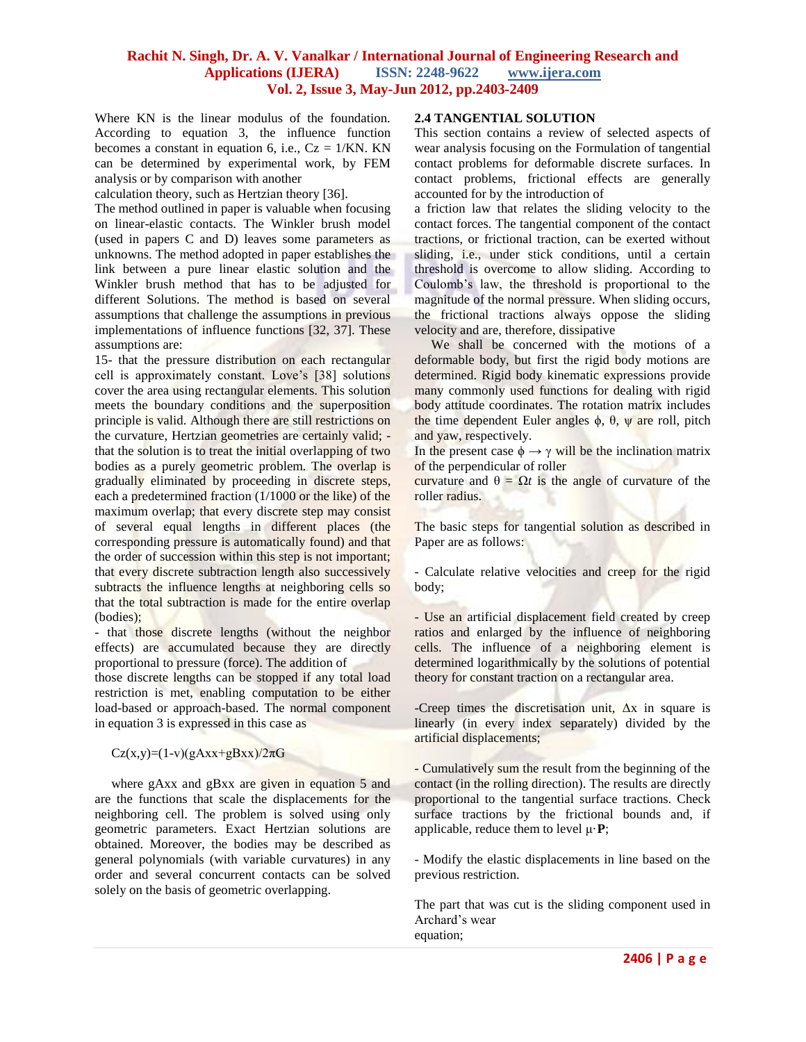Where KN is the linear modulus of the foundation. According to equation 3, the influence function becomes a constant in equation 6, i.e.,  $Cz = 1/KN$ . KN can be determined by experimental work, by FEM analysis or by comparison with another

calculation theory, such as Hertzian theory [36].

The method outlined in paper is valuable when focusing on linear-elastic contacts. The Winkler brush model (used in papers C and D) leaves some parameters as unknowns. The method adopted in paper establishes the link between a pure linear elastic solution and the Winkler brush method that has to be adjusted for different Solutions. The method is based on several assumptions that challenge the assumptions in previous implementations of influence functions [32, 37]. These assumptions are:

15- that the pressure distribution on each rectangular cell is approximately constant. Love"s [38] solutions cover the area using rectangular elements. This solution meets the boundary conditions and the superposition principle is valid. Although there are still restrictions on the curvature, Hertzian geometries are certainly valid; that the solution is to treat the initial overlapping of two bodies as a purely geometric problem. The overlap is gradually eliminated by proceeding in discrete steps, each a predetermined fraction (1/1000 or the like) of the maximum overlap; that every discrete step may consist of several equal lengths in different places (the corresponding pressure is automatically found) and that the order of succession within this step is not important; that every discrete subtraction length also successively subtracts the influence lengths at neighboring cells so that the total subtraction is made for the entire overlap (bodies);

- that those discrete lengths (without the neighbor effects) are accumulated because they are directly proportional to pressure (force). The addition of

those discrete lengths can be stopped if any total load restriction is met, enabling computation to be either load-based or approach-based. The normal component in equation 3 is expressed in this case as

 $Cz(x,y)=(1-v)(gAxx+gBxx)/2\pi G$ 

where gAxx and gBxx are given in equation 5 and are the functions that scale the displacements for the neighboring cell. The problem is solved using only geometric parameters. Exact Hertzian solutions are obtained. Moreover, the bodies may be described as general polynomials (with variable curvatures) in any order and several concurrent contacts can be solved solely on the basis of geometric overlapping.

## **2.4 TANGENTIAL SOLUTION**

This section contains a review of selected aspects of wear analysis focusing on the Formulation of tangential contact problems for deformable discrete surfaces. In contact problems, frictional effects are generally accounted for by the introduction of

a friction law that relates the sliding velocity to the contact forces. The tangential component of the contact tractions, or frictional traction, can be exerted without sliding, i.e., under stick conditions, until a certain threshold is overcome to allow sliding. According to Coulomb"s law, the threshold is proportional to the magnitude of the normal pressure. When sliding occurs, the frictional tractions always oppose the sliding velocity and are, therefore, dissipative

 We shall be concerned with the motions of a deformable body, but first the rigid body motions are determined. Rigid body kinematic expressions provide many commonly used functions for dealing with rigid body attitude coordinates. The rotation matrix includes the time dependent Euler angles  $φ$ ,  $θ$ ,  $ψ$  are roll, pitch and yaw, respectively.

In the present case  $\phi \rightarrow \gamma$  will be the inclination matrix of the perpendicular of roller

curvature and  $\theta = \Omega t$  is the angle of curvature of the roller radius.

The basic steps for tangential solution as described in Paper are as follows:

- Calculate relative velocities and creep for the rigid body;

- Use an artificial displacement field created by creep ratios and enlarged by the influence of neighboring cells. The influence of a neighboring element is determined logarithmically by the solutions of potential theory for constant traction on a rectangular area.

-Creep times the discretisation unit,  $\Delta x$  in square is linearly (in every index separately) divided by the artificial displacements;

- Cumulatively sum the result from the beginning of the contact (in the rolling direction). The results are directly proportional to the tangential surface tractions. Check surface tractions by the frictional bounds and, if applicable, reduce them to level μ·**P**;

- Modify the elastic displacements in line based on the previous restriction.

The part that was cut is the sliding component used in Archard"s wear equation;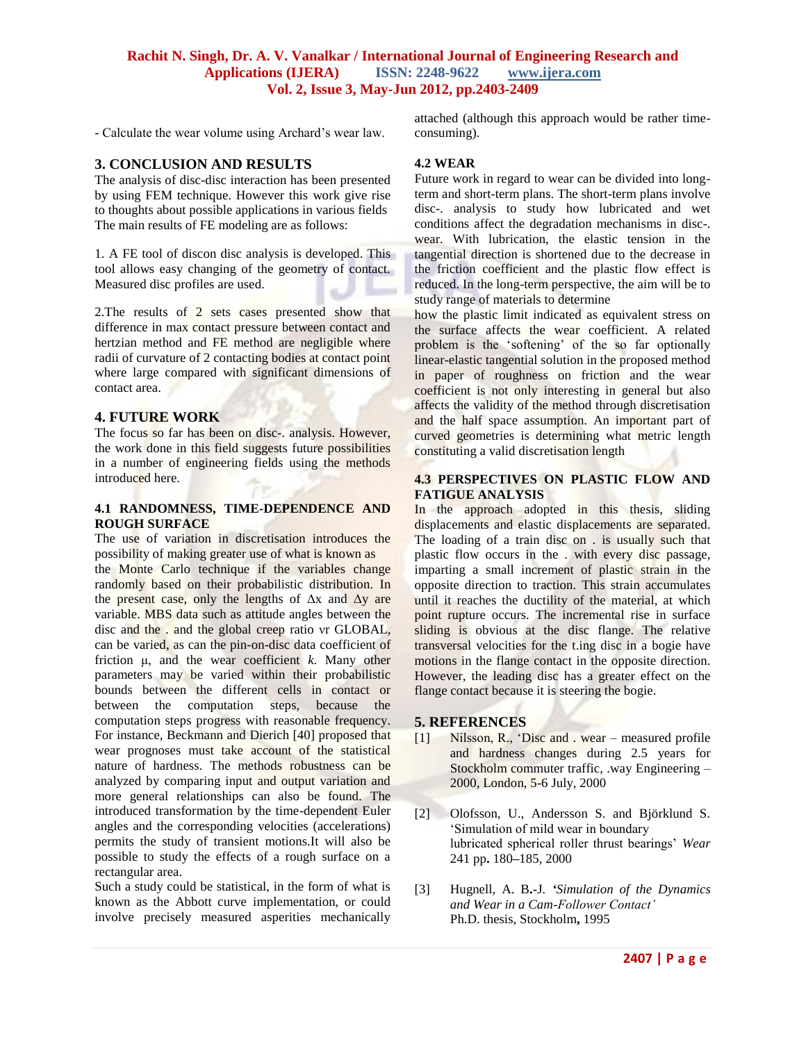- Calculate the wear volume using Archard"s wear law.

#### **3. CONCLUSION AND RESULTS**

The analysis of disc-disc interaction has been presented by using FEM technique. However this work give rise to thoughts about possible applications in various fields The main results of FE modeling are as follows:

1. A FE tool of discon disc analysis is developed. This tool allows easy changing of the geometry of contact. Measured disc profiles are used.

2.The results of 2 sets cases presented show that difference in max contact pressure between contact and hertzian method and FE method are negligible where radii of curvature of 2 contacting bodies at contact point where large compared with significant dimensions of contact area.

#### **4. FUTURE WORK**

The focus so far has been on disc-. analysis. However, the work done in this field suggests future possibilities in a number of engineering fields using the methods introduced here.

## **4.1 RANDOMNESS, TIME-DEPENDENCE AND ROUGH SURFACE**

The use of variation in discretisation introduces the possibility of making greater use of what is known as the Monte Carlo technique if the variables change randomly based on their probabilistic distribution. In the present case, only the lengths of  $\Delta x$  and  $\Delta y$  are variable. MBS data such as attitude angles between the disc and the . and the global creep ratio νr GLOBAL, can be varied, as can the pin-on-disc data coefficient of friction μ, and the wear coefficient *k*. Many other parameters may be varied within their probabilistic bounds between the different cells in contact or between the computation steps, because the computation steps progress with reasonable frequency. For instance, Beckmann and Dierich [40] proposed that wear prognoses must take account of the statistical nature of hardness. The methods robustness can be analyzed by comparing input and output variation and more general relationships can also be found. The introduced transformation by the time-dependent Euler angles and the corresponding velocities (accelerations) permits the study of transient motions.It will also be possible to study the effects of a rough surface on a rectangular area.

Such a study could be statistical, in the form of what is known as the Abbott curve implementation, or could involve precisely measured asperities mechanically

attached (although this approach would be rather timeconsuming).

#### **4.2 WEAR**

Future work in regard to wear can be divided into longterm and short-term plans. The short-term plans involve disc-. analysis to study how lubricated and wet conditions affect the degradation mechanisms in disc-. wear. With lubrication, the elastic tension in the tangential direction is shortened due to the decrease in the friction coefficient and the plastic flow effect is reduced. In the long-term perspective, the aim will be to study range of materials to determine

how the plastic limit indicated as equivalent stress on the surface affects the wear coefficient. A related problem is the 'softening' of the so far optionally linear-elastic tangential solution in the proposed method in paper of roughness on friction and the wear coefficient is not only interesting in general but also affects the validity of the method through discretisation and the half space assumption. An important part of curved geometries is determining what metric length constituting a valid discretisation length

#### **4.3 PERSPECTIVES ON PLASTIC FLOW AND FATIGUE ANALYSIS**

In the approach adopted in this thesis, sliding displacements and elastic displacements are separated. The loading of a train disc on . is usually such that plastic flow occurs in the . with every disc passage, imparting a small increment of plastic strain in the opposite direction to traction. This strain accumulates until it reaches the ductility of the material, at which point rupture occurs. The incremental rise in surface sliding is obvious at the disc flange. The relative transversal velocities for the t.ing disc in a bogie have motions in the flange contact in the opposite direction. However, the leading disc has a greater effect on the flange contact because it is steering the bogie.

#### **5. REFERENCES**

- [1] Nilsson, R., "Disc and . wear measured profile and hardness changes during 2.5 years for Stockholm commuter traffic, .way Engineering – 2000, London, 5-6 July, 2000
- [2] Olofsson, U., Andersson S. and Björklund S. "Simulation of mild wear in boundary lubricated spherical roller thrust bearings" *Wear*  241 pp**.** 180**–**185, 2000
- [3] Hugnell, A. B**.-**J*. 'Simulation of the Dynamics and Wear in a Cam-Follower Contact'* Ph.D. thesis, Stockholm**,** 1995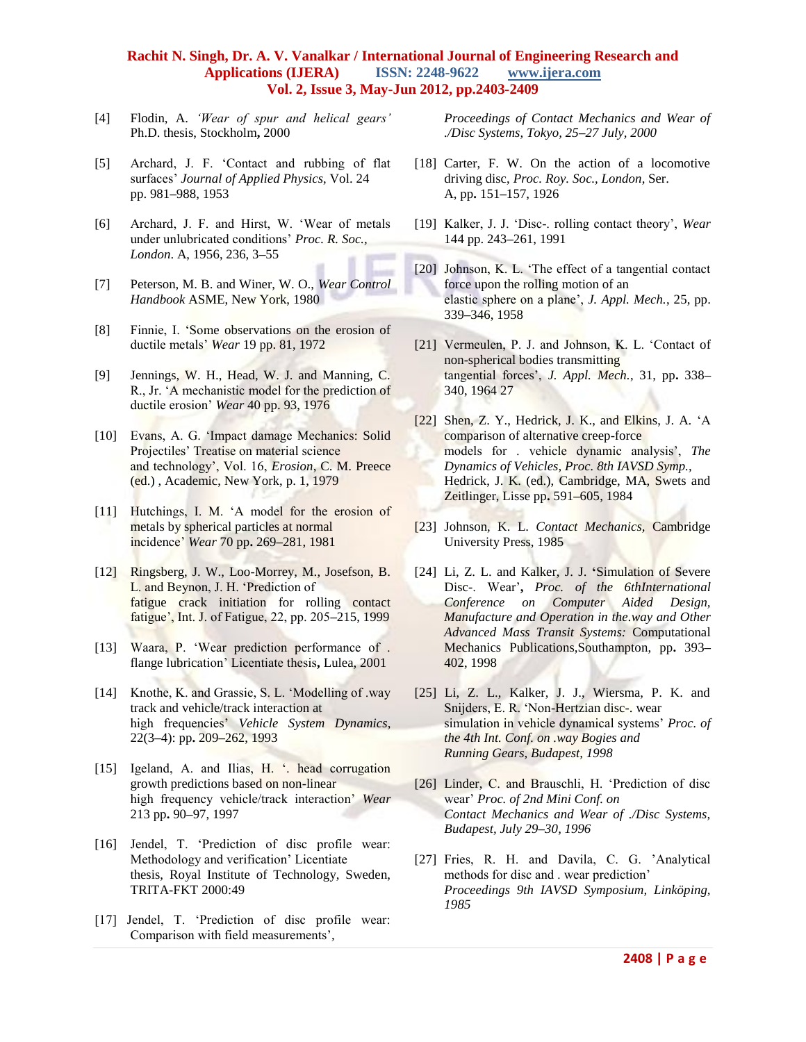- [4] Flodin, A. *'Wear of spur and helical gears'*  Ph.D. thesis, Stockholm**,** 2000
- [5] Archard, J. F. "Contact and rubbing of flat surfaces" *Journal of Applied Physics*, Vol. 24 pp. 981**–**988, 1953
- [6] Archard, J. F. and Hirst, W. "Wear of metals under unlubricated conditions" *Proc. R. Soc., London*. A, 1956, 236, 3**–**55
- [7] Peterson, M. B. and Winer, W. O., *Wear Control Handbook* ASME, New York, 1980
- [8] Finnie, I. "Some observations on the erosion of ductile metals" *Wear* 19 pp. 81, 1972
- [9] Jennings, W. H., Head, W. J. and Manning, C. R., Jr. "A mechanistic model for the prediction of ductile erosion" *Wear* 40 pp. 93, 1976
- [10] Evans, A. G. 'Impact damage Mechanics: Solid Projectiles' Treatise on material science and technology', Vol. 16, *Erosion*, C. M. Preece (ed.) , Academic, New York, p. 1, 1979
- [11] Hutchings, I. M. 'A model for the erosion of metals by spherical particles at normal incidence" *Wear* 70 pp**.** 269**–**281, 1981
- [12] Ringsberg, J. W., Loo-Morrey, M., Josefson, B. L. and Beynon, J. H. "Prediction of fatigue crack initiation for rolling contact fatigue", Int. J. of Fatigue, 22, pp. 205**–**215, 1999
- [13] Waara, P. 'Wear prediction performance of . flange lubrication" Licentiate thesis**,** Lulea, 2001
- [14] Knothe, K. and Grassie, S. L. "Modelling of .way track and vehicle/track interaction at high frequencies" *Vehicle System Dynamics*, 22(3**–**4): pp**.** 209**–**262, 1993
- [15] Igeland, A. and Ilias, H. '. head corrugation growth predictions based on non-linear high frequency vehicle/track interaction" *Wear*  213 pp**.** 90**–**97, 1997
- [16] Jendel, T. "Prediction of disc profile wear: Methodology and verification" Licentiate thesis, Royal Institute of Technology, Sweden, TRITA-FKT 2000:49
- [17] Jendel, T. 'Prediction of disc profile wear: Comparison with field measurements"*,*

*Proceedings of Contact Mechanics and Wear of ./Disc Systems, Tokyo, 25–27 July, 2000*

- [18] Carter, F. W. On the action of a locomotive driving disc, *Proc. Roy. Soc., London*, Ser. A, pp**.** 151**–**157, 1926
- [19] Kalker, J. J. "Disc-. rolling contact theory", *Wear*  144 pp. 243**–**261, 1991
- [20] Johnson, K. L. 'The effect of a tangential contact force upon the rolling motion of an elastic sphere on a plane", *J. Appl. Mech.*, 25, pp. 339**–**346, 1958
- [21] Vermeulen, P. J. and Johnson, K. L. "Contact of non-spherical bodies transmitting tangential forces", *J. Appl. Mech.*, 31, pp**.** 338**–** 340, 1964 27
- [22] Shen, Z. Y., Hedrick, J. K., and Elkins, J. A. 'A comparison of alternative creep-force models for . vehicle dynamic analysis', *The Dynamics of Vehicles, Proc. 8th IAVSD Symp.,* Hedrick, J. K. (ed.), Cambridge, MA, Swets and Zeitlinger, Lisse pp**.** 591**–**605, 1984
- [23] Johnson, K. L. *Contact Mechanics,* Cambridge University Press, 1985
- [24] Li, Z. L. and Kalker, J. J. **'**Simulation of Severe Disc-. Wear"**,** *Proc. of the 6thInternational Conference on Computer Aided Design, Manufacture and Operation in the.way and Other Advanced Mass Transit Systems:* Computational Mechanics Publications,Southampton, pp**.** 393**–** 402, 1998
- [25] Li, Z. L., Kalker, J. J., Wiersma, P. K. and Snijders, E. R. "Non-Hertzian disc-. wear simulation in vehicle dynamical systems' *Proc. of the 4th Int. Conf. on .way Bogies and Running Gears, Budapest, 1998*
- [26] Linder, C. and Brauschli, H. 'Prediction of disc wear" *Proc. of 2nd Mini Conf. on Contact Mechanics and Wear of ./Disc Systems, Budapest, July 29–30, 1996*
- [27] Fries, R. H. and Davila, C. G. "Analytical methods for disc and . wear prediction" *Proceedings 9th IAVSD Symposium, Linköping, 1985*